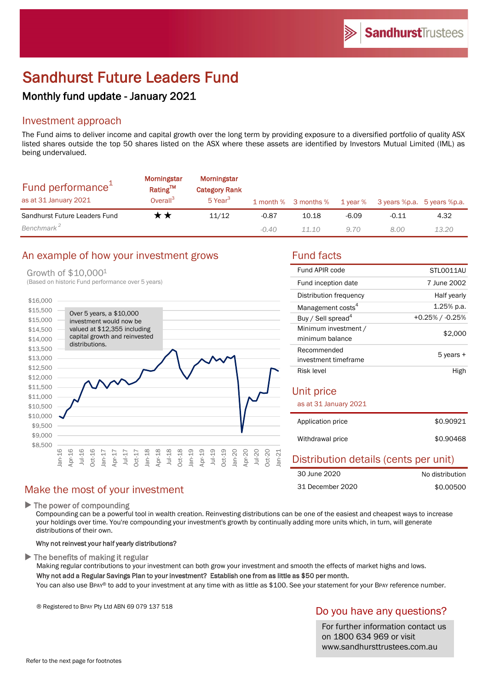# Sandhurst Future Leaders Fund

# Monthly fund update - January 2021

# Investment approach

The Fund aims to deliver income and capital growth over the long term by providing exposure to a diversified portfolio of quality ASX listed shares outside the top 50 shares listed on the ASX where these assets are identified by Investors Mutual Limited (IML) as being undervalued.

| Fund performance <sup>1</sup><br>as at 31 January 2021 | <b>Morningstar</b><br>Rating™<br>Overall <sup>3</sup> | <b>Morningstar</b><br><b>Category Rank</b><br>5 Year <sup>3</sup> |         | 1 month % 3 months % | $1$ year $%$ | 3 years %p.a. 5 years %p.a. |       |
|--------------------------------------------------------|-------------------------------------------------------|-------------------------------------------------------------------|---------|----------------------|--------------|-----------------------------|-------|
| Sandhurst Future Leaders Fund                          | r *                                                   | 11/12                                                             | $-0.87$ | 10.18                | $-6.09$      | $-0.11$                     | 4.32  |
| Benchmark <sup>2</sup>                                 |                                                       |                                                                   | $-0.40$ | 1110                 | 9.70         | 8.00                        | 13.20 |

# An example of how your investment grows Fund facts

#### Growth of \$10,0001



| Fund APIR code                          | STLO011AU          |
|-----------------------------------------|--------------------|
| Fund inception date                     | 7 June 2002        |
| Distribution frequency                  | Half yearly        |
| Management costs <sup>4</sup>           | $1.25%$ p.a.       |
| Buy / Sell spread <sup>4</sup>          | $+0.25\%$ / -0.25% |
| Minimum investment /<br>minimum balance | \$2,000            |
| Recommended<br>investment timeframe     | 5 years +          |
| Risk level                              | High               |
| Unit price<br>as at 31 January 2021     |                    |
| Application price                       | \$0.90921          |
| Withdrawal price                        | \$0.90468          |

### Distribution details (cents per unit) No distribution 30 June 2020

| 31 December 2020 | \$0.00500 |
|------------------|-----------|
|                  |           |

 $\blacktriangleright$  The power of compounding

Compounding can be a powerful tool in wealth creation. Reinvesting distributions can be one of the easiest and cheapest ways to increase your holdings over time. You're compounding your investment's growth by continually adding more units which, in turn, will generate distributions of their own.

#### Why not reinvest your half yearly distributions?

Make the most of your investment

 $\blacktriangleright$  The benefits of making it regular

Making regular contributions to your investment can both grow your investment and smooth the effects of market highs and lows. Why not add a Regular Savings Plan to your investment? Establish one from as little as \$50 per month.

You can also use BPAY® to add to your investment at any time with as little as \$100. See your statement for your BPAY reference number.

® Registered to BPAY Pty Ltd ABN 69 079 137 518

# Do you have any questions?

For further information contact us on 1800 634 969 or visit www.sandhursttrustees.com.au